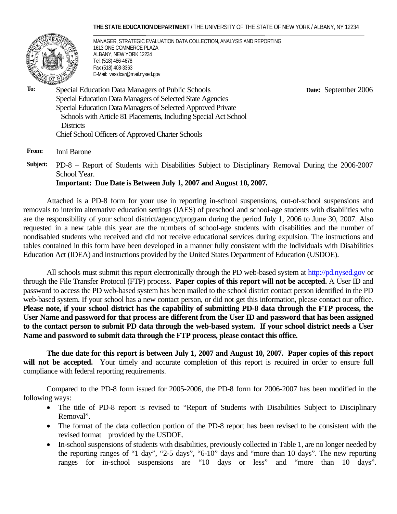#### **THE STATE EDUCATION DEPARTMENT** / THE UNIVERSITY OF THE STATE OF NEW YORK / ALBANY, NY 12234



MANAGER, STRATEGIC EVALUATION DATA COLLECTION, ANALYSIS AND REPORTING 1613 ONE COMMERCE PLAZA ALBANY, NEW YORK 12234 Tel. (518) 486-4678 Fax (518) 408-3363 E-Mail: vesidcar@mail.nysed.gov

 **Date:** September 2006

**To:** Special Education Data Managers of Public Schools Special Education Data Managers of Selected State Agencies Special Education Data Managers of Selected Approved Private Schools with Article 81 Placements, Including Special Act School **Districts** Chief School Officers of Approved Charter Schools

**From:** Inni Barone

**Subject:** PD-8 – Report of Students with Disabilities Subject to Disciplinary Removal During the 2006-2007 School Year.

**Important: Due Date is Between July 1, 2007 and August 10, 2007.**

Attached is a PD-8 form for your use in reporting in-school suspensions, out-of-school suspensions and removals to interim alternative education settings (IAES) of preschool and school-age students with disabilities who are the responsibility of your school district/agency/program during the period July 1, 2006 to June 30, 2007. Also requested in a new table this year are the numbers of school-age students with disabilities and the number of nondisabled students who received and did not receive educational services during expulsion. The instructions and tables contained in this form have been developed in a manner fully consistent with the Individuals with Disabilities Education Act (IDEA) and instructions provided by the United States Department of Education (USDOE).

All schools must submit this report electronically through the PD web-based system at http://pd.nysed.gov or through the File Transfer Protocol (FTP) process. **Paper copies of this report will not be accepted.** A User ID and password to access the PD web-based system has been mailed to the school district contact person identified in the PD web-based system. If your school has a new contact person, or did not get this information, please contact our office. **Please note, if your school district has the capability of submitting PD-8 data through the FTP process, the User Name and password for that process are different from the User ID and password that has been assigned to the contact person to submit PD data through the web-based system. If your school district needs a User Name and password to submit data through the FTP process, please contact this office.** 

**The due date for this report is between July 1, 2007 and August 10, 2007. Paper copies of this report**  will not be accepted. Your timely and accurate completion of this report is required in order to ensure full compliance with federal reporting requirements.

 Compared to the PD-8 form issued for 2005-2006, the PD-8 form for 2006-2007 has been modified in the following ways:

- The title of PD-8 report is revised to "Report of Students with Disabilities Subject to Disciplinary Removal".
- The format of the data collection portion of the PD-8 report has been revised to be consistent with the revised format provided by the USDOE.
- In-school suspensions of students with disabilities, previously collected in Table 1, are no longer needed by the reporting ranges of "1 day", "2-5 days", "6-10" days and "more than 10 days". The new reporting ranges for in-school suspensions are "10 days or less" and "more than 10 days".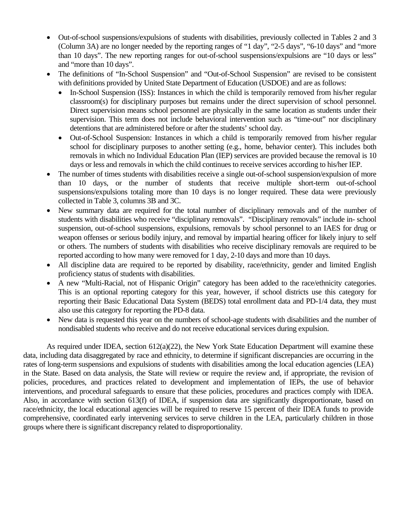- Out-of-school suspensions/expulsions of students with disabilities, previously collected in Tables 2 and 3 (Column 3A) are no longer needed by the reporting ranges of "1 day", "2-5 days", "6-10 days" and "more than 10 days". The new reporting ranges for out-of-school suspensions/expulsions are "10 days or less" and "more than 10 days".
- The definitions of "In-School Suspension" and "Out-of-School Suspension" are revised to be consistent with definitions provided by United State Department of Education (USDOE) and are as follows:
	- In-School Suspension (ISS): Instances in which the child is temporarily removed from his/her regular classroom(s) for disciplinary purposes but remains under the direct supervision of school personnel. Direct supervision means school personnel are physically in the same location as students under their supervision. This term does not include behavioral intervention such as "time-out" nor disciplinary detentions that are administered before or after the students' school day.
	- Out-of-School Suspension: Instances in which a child is temporarily removed from his/her regular school for disciplinary purposes to another setting (e.g., home, behavior center). This includes both removals in which no Individual Education Plan (IEP) services are provided because the removal is 10 days or less and removals in which the child continues to receive services according to his/her IEP.
- The number of times students with disabilities receive a single out-of-school suspension/expulsion of more than 10 days, or the number of students that receive multiple short-term out-of-school suspensions/expulsions totaling more than 10 days is no longer required. These data were previously collected in Table 3, columns 3B and 3C.
- New summary data are required for the total number of disciplinary removals and of the number of students with disabilities who receive "disciplinary removals". "Disciplinary removals" include in- school suspension, out-of-school suspensions, expulsions, removals by school personnel to an IAES for drug or weapon offenses or serious bodily injury, and removal by impartial hearing officer for likely injury to self or others. The numbers of students with disabilities who receive disciplinary removals are required to be reported according to how many were removed for 1 day, 2-10 days and more than 10 days.
- All discipline data are required to be reported by disability, race/ethnicity, gender and limited English proficiency status of students with disabilities.
- A new "Multi-Racial, not of Hispanic Origin" category has been added to the race/ethnicity categories. This is an optional reporting category for this year, however, if school districts use this category for reporting their Basic Educational Data System (BEDS) total enrollment data and PD-1/4 data, they must also use this category for reporting the PD-8 data.
- New data is requested this year on the numbers of school-age students with disabilities and the number of nondisabled students who receive and do not receive educational services during expulsion.

As required under IDEA, section 612(a)(22), the New York State Education Department will examine these data, including data disaggregated by race and ethnicity, to determine if significant discrepancies are occurring in the rates of long-term suspensions and expulsions of students with disabilities among the local education agencies (LEA) in the State. Based on data analysis, the State will review or require the review and, if appropriate, the revision of policies, procedures, and practices related to development and implementation of IEPs, the use of behavior interventions, and procedural safeguards to ensure that these policies, procedures and practices comply with IDEA. Also, in accordance with section 613(f) of IDEA, if suspension data are significantly disproportionate, based on race/ethnicity, the local educational agencies will be required to reserve 15 percent of their IDEA funds to provide comprehensive, coordinated early intervening services to serve children in the LEA, particularly children in those groups where there is significant discrepancy related to disproportionality.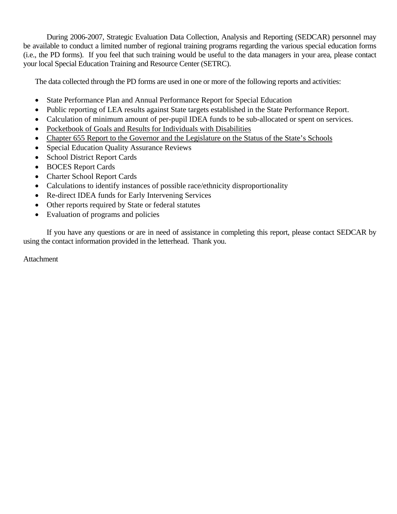During 2006-2007, Strategic Evaluation Data Collection, Analysis and Reporting (SEDCAR) personnel may be available to conduct a limited number of regional training programs regarding the various special education forms (i.e., the PD forms). If you feel that such training would be useful to the data managers in your area, please contact your local Special Education Training and Resource Center (SETRC).

The data collected through the PD forms are used in one or more of the following reports and activities:

- State Performance Plan and Annual Performance Report for Special Education
- Public reporting of LEA results against State targets established in the State Performance Report.
- Calculation of minimum amount of per-pupil IDEA funds to be sub-allocated or spent on services.
- Pocketbook of Goals and Results for Individuals with Disabilities
- Chapter 655 Report to the Governor and the Legislature on the Status of the State's Schools
- Special Education Quality Assurance Reviews
- School District Report Cards
- BOCES Report Cards
- Charter School Report Cards
- Calculations to identify instances of possible race/ethnicity disproportionality
- Re-direct IDEA funds for Early Intervening Services
- Other reports required by State or federal statutes
- Evaluation of programs and policies

If you have any questions or are in need of assistance in completing this report, please contact SEDCAR by using the contact information provided in the letterhead. Thank you.

Attachment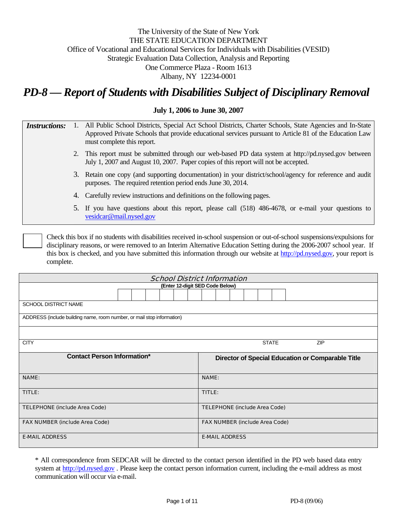# The University of the State of New York THE STATE EDUCATION DEPARTMENT Office of Vocational and Educational Services for Individuals with Disabilities (VESID) Strategic Evaluation Data Collection, Analysis and Reporting One Commerce Plaza - Room 1613 Albany, NY 12234-0001

# *PD-8 — Report of Students with Disabilities Subject of Disciplinary Removal*

## **July 1, 2006 to June 30, 2007**

| <i>Instructions:</i> | 1. All Public School Districts, Special Act School Districts, Charter Schools, State Agencies and In-State |
|----------------------|------------------------------------------------------------------------------------------------------------|
|                      | Approved Private Schools that provide educational services pursuant to Article 81 of the Education Law     |
|                      | must complete this report.                                                                                 |

- 2. This report must be submitted through our web-based PD data system at http://pd.nysed.gov between July 1, 2007 and August 10, 2007. Paper copies of this report will not be accepted.
- 3. Retain one copy (and supporting documentation) in your district/school/agency for reference and audit purposes. The required retention period ends June 30, 2014.
- 4. Carefully review instructions and definitions on the following pages.
- 5. If you have questions about this report, please call (518) 486-4678, or e-mail your questions to vesidcar@mail.nysed.gov

Check this box if no students with disabilities received in-school suspension or out-of-school suspensions/expulsions for disciplinary reasons, or were removed to an Interim Alternative Education Setting during the 2006-2007 school year. If this box is checked, and you have submitted this information through our website at http://pd.nysed.gov, your report is complete.

| <b>School District Information</b>    |                                                                        |  |  |  |                                                   |                     |  |  |  |  |  |  |  |  |
|---------------------------------------|------------------------------------------------------------------------|--|--|--|---------------------------------------------------|---------------------|--|--|--|--|--|--|--|--|
|                                       | (Enter 12-digit SED Code Below)                                        |  |  |  |                                                   |                     |  |  |  |  |  |  |  |  |
|                                       |                                                                        |  |  |  |                                                   |                     |  |  |  |  |  |  |  |  |
| <b>SCHOOL DISTRICT NAME</b>           |                                                                        |  |  |  |                                                   |                     |  |  |  |  |  |  |  |  |
|                                       | ADDRESS (include building name, room number, or mail stop information) |  |  |  |                                                   |                     |  |  |  |  |  |  |  |  |
|                                       |                                                                        |  |  |  |                                                   |                     |  |  |  |  |  |  |  |  |
| <b>CITY</b>                           |                                                                        |  |  |  |                                                   | <b>STATE</b><br>ZIP |  |  |  |  |  |  |  |  |
| <b>Contact Person Information*</b>    |                                                                        |  |  |  | Director of Special Education or Comparable Title |                     |  |  |  |  |  |  |  |  |
| <b>NAME:</b>                          |                                                                        |  |  |  | <b>NAME:</b>                                      |                     |  |  |  |  |  |  |  |  |
| TITLE:                                |                                                                        |  |  |  | TITLE:                                            |                     |  |  |  |  |  |  |  |  |
| <b>TELEPHONE (include Area Code)</b>  |                                                                        |  |  |  | <b>TELEPHONE (include Area Code)</b>              |                     |  |  |  |  |  |  |  |  |
| <b>FAX NUMBER (include Area Code)</b> |                                                                        |  |  |  | <b>FAX NUMBER (include Area Code)</b>             |                     |  |  |  |  |  |  |  |  |
| <b>E-MAIL ADDRESS</b>                 |                                                                        |  |  |  | <b>E-MAIL ADDRESS</b>                             |                     |  |  |  |  |  |  |  |  |

\* All correspondence from SEDCAR will be directed to the contact person identified in the PD web based data entry system at http://pd.nysed.gov. Please keep the contact person information current, including the e-mail address as most communication will occur via e-mail.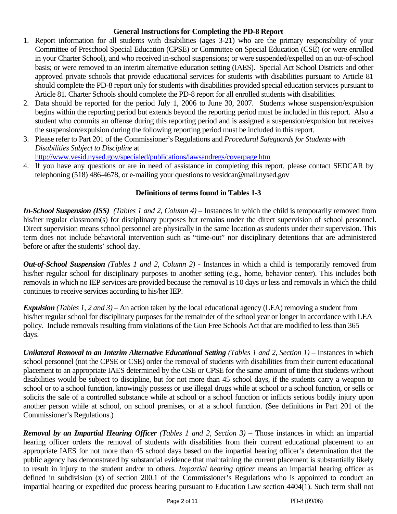## **General Instructions for Completing the PD-8 Report**

- 1. Report information for all students with disabilities (ages 3-21) who are the primary responsibility of your Committee of Preschool Special Education (CPSE) or Committee on Special Education (CSE) (or were enrolled in your Charter School), and who received in-school suspensions; or were suspended/expelled on an out-of-school basis; or were removed to an interim alternative education setting (IAES). Special Act School Districts and other approved private schools that provide educational services for students with disabilities pursuant to Article 81 should complete the PD-8 report only for students with disabilities provided special education services pursuant to Article 81. Charter Schools should complete the PD-8 report for all enrolled students with disabilities.
- 2. Data should be reported for the period July 1, 2006 to June 30, 2007. Students whose suspension/expulsion begins within the reporting period but extends beyond the reporting period must be included in this report. Also a student who commits an offense during this reporting period and is assigned a suspension/expulsion but receives the suspension/expulsion during the following reporting period must be included in this report.
- 3. Please refer to Part 201 of the Commissioner's Regulations and *Procedural Safeguards for Students with Disabilities Subject to Discipline* at

http://www.vesid.nysed.gov/specialed/publications/lawsandregs/coverpage.htm

4. If you have any questions or are in need of assistance in completing this report, please contact SEDCAR by telephoning (518) 486-4678, or e-mailing your questions to vesidcar@mail.nysed.gov

# **Definitions of terms found in Tables 1-3**

*In-School Suspension (ISS) (Tables 1 and 2, Column 4)* – Instances in which the child is temporarily removed from his/her regular classroom(s) for disciplinary purposes but remains under the direct supervision of school personnel. Direct supervision means school personnel are physically in the same location as students under their supervision. This term does not include behavioral intervention such as "time-out" nor disciplinary detentions that are administered before or after the students' school day.

*Out-of-School Suspension (Tables 1 and 2, Column 2) -* Instances in which a child is temporarily removed from his/her regular school for disciplinary purposes to another setting (e.g., home, behavior center). This includes both removals in which no IEP services are provided because the removal is 10 days or less and removals in which the child continues to receive services according to his/her IEP.

*Expulsion (Tables 1, 2 and 3)* – An action taken by the local educational agency (LEA) removing a student from his/her regular school for disciplinary purposes for the remainder of the school year or longer in accordance with LEA policy. Include removals resulting from violations of the Gun Free Schools Act that are modified to less than 365 days.

*Unilateral Removal to an Interim Alternative Educational Setting (Tables 1 and 2, Section 1)* – Instances in which school personnel (not the CPSE or CSE) order the removal of students with disabilities from their current educational placement to an appropriate IAES determined by the CSE or CPSE for the same amount of time that students without disabilities would be subject to discipline, but for not more than 45 school days, if the students carry a weapon to school or to a school function, knowingly possess or use illegal drugs while at school or a school function, or sells or solicits the sale of a controlled substance while at school or a school function or inflicts serious bodily injury upon another person while at school, on school premises, or at a school function. (See definitions in Part 201 of the Commissioner's Regulations.)

*Removal by an Impartial Hearing Officer (Tables 1 and 2, Section 3)* – Those instances in which an impartial hearing officer orders the removal of students with disabilities from their current educational placement to an appropriate IAES for not more than 45 school days based on the impartial hearing officer's determination that the public agency has demonstrated by substantial evidence that maintaining the current placement is substantially likely to result in injury to the student and/or to others. *Impartial hearing officer* means an impartial hearing officer as defined in subdivision (x) of section 200.1 of the Commissioner's Regulations who is appointed to conduct an impartial hearing or expedited due process hearing pursuant to Education Law section 4404(1). Such term shall not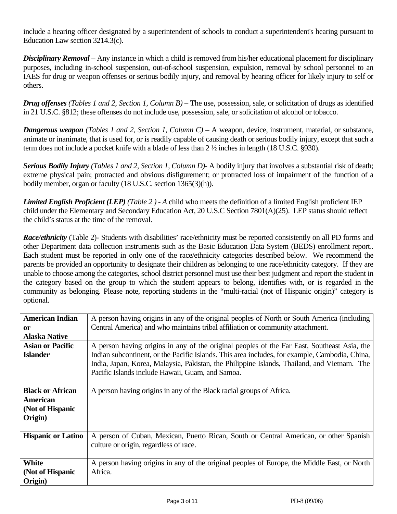include a hearing officer designated by a superintendent of schools to conduct a superintendent's hearing pursuant to Education Law section 3214.3(c).

*Disciplinary Removal* – Any instance in which a child is removed from his/her educational placement for disciplinary purposes, including in-school suspension, out-of-school suspension, expulsion, removal by school personnel to an IAES for drug or weapon offenses or serious bodily injury, and removal by hearing officer for likely injury to self or others.

*Drug offenses (Tables 1 and 2, Section 1, Column B)* – The use, possession, sale, or solicitation of drugs as identified in 21 U.S.C. §812; these offenses do not include use, possession, sale, or solicitation of alcohol or tobacco.

*Dangerous weapon (Tables 1 and 2, Section 1, Column C)* – A weapon, device, instrument, material, or substance, animate or inanimate, that is used for, or is readily capable of causing death or serious bodily injury, except that such a term does not include a pocket knife with a blade of less than 2 ½ inches in length (18 U.S.C. §930).

*Serious Bodily Injury (Tables 1 and 2, Section 1, Column D)-* A bodily injury that involves a substantial risk of death; extreme physical pain; protracted and obvious disfigurement; or protracted loss of impairment of the function of a bodily member, organ or faculty (18 U.S.C. section 1365(3)(h)).

*Limited English Proficient (LEP) (Table 2 ) - A* child who meets the definition of a limited English proficient IEP child under the Elementary and Secondary Education Act, 20 U.S.C Section 7801(A)(25). LEP status should reflect the child's status at the time of the removal.

*Race/ethnicity* (Table 2)- Students with disabilities' race/ethnicity must be reported consistently on all PD forms and other Department data collection instruments such as the Basic Education Data System (BEDS) enrollment report.. Each student must be reported in only one of the race/ethnicity categories described below. We recommend the parents be provided an opportunity to designate their children as belonging to one race/ethnicity category. If they are unable to choose among the categories, school district personnel must use their best judgment and report the student in the category based on the group to which the student appears to belong, identifies with, or is regarded in the community as belonging. Please note, reporting students in the "multi-racial (not of Hispanic origin)" category is optional.

| <b>American Indian</b><br>0r<br>Alaska Native                      | A person having origins in any of the original peoples of North or South America (including<br>Central America) and who maintains tribal affiliation or community attachment.                                                                                                                                                                    |
|--------------------------------------------------------------------|--------------------------------------------------------------------------------------------------------------------------------------------------------------------------------------------------------------------------------------------------------------------------------------------------------------------------------------------------|
| <b>Asian or Pacific</b><br><b>Islander</b>                         | A person having origins in any of the original peoples of the Far East, Southeast Asia, the<br>Indian subcontinent, or the Pacific Islands. This area includes, for example, Cambodia, China,<br>India, Japan, Korea, Malaysia, Pakistan, the Philippine Islands, Thailand, and Vietnam. The<br>Pacific Islands include Hawaii, Guam, and Samoa. |
| <b>Black or African</b><br>American<br>(Not of Hispanic<br>Origin) | A person having origins in any of the Black racial groups of Africa.                                                                                                                                                                                                                                                                             |
| <b>Hispanic or Latino</b>                                          | A person of Cuban, Mexican, Puerto Rican, South or Central American, or other Spanish<br>culture or origin, regardless of race.                                                                                                                                                                                                                  |
| White<br>(Not of Hispanic<br>Origin)                               | A person having origins in any of the original peoples of Europe, the Middle East, or North<br>Africa.                                                                                                                                                                                                                                           |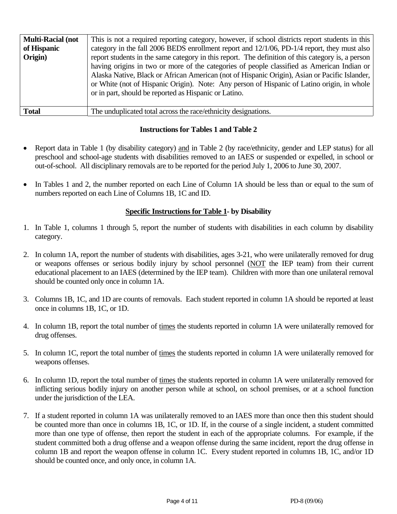| <b>Multi-Racial (not</b> | This is not a required reporting category, however, if school districts report students in this   |  |  |  |  |  |  |  |
|--------------------------|---------------------------------------------------------------------------------------------------|--|--|--|--|--|--|--|
| of Hispanic              | category in the fall 2006 BEDS enrollment report and 12/1/06, PD-1/4 report, they must also       |  |  |  |  |  |  |  |
| Origin)                  | report students in the same category in this report. The definition of this category is, a person |  |  |  |  |  |  |  |
|                          | having origins in two or more of the categories of people classified as American Indian or        |  |  |  |  |  |  |  |
|                          | Alaska Native, Black or African American (not of Hispanic Origin), Asian or Pacific Islander,     |  |  |  |  |  |  |  |
|                          | or White (not of Hispanic Origin). Note: Any person of Hispanic of Latino origin, in whole        |  |  |  |  |  |  |  |
|                          | or in part, should be reported as Hispanic or Latino.                                             |  |  |  |  |  |  |  |
|                          |                                                                                                   |  |  |  |  |  |  |  |
| <b>Total</b>             | The unduplicated total across the race/ethnicity designations.                                    |  |  |  |  |  |  |  |

## **Instructions for Tables 1 and Table 2**

- Report data in Table 1 (by disability category) and in Table 2 (by race/ethnicity, gender and LEP status) for all preschool and school-age students with disabilities removed to an IAES or suspended or expelled, in school or out-of-school. All disciplinary removals are to be reported for the period July 1, 2006 to June 30, 2007.
- In Tables 1 and 2, the number reported on each Line of Column 1A should be less than or equal to the sum of numbers reported on each Line of Columns 1B, 1C and ID.

# **Specific Instructions for Table 1- by Disability**

- 1. In Table 1, columns 1 through 5, report the number of students with disabilities in each column by disability category.
- 2. In column 1A, report the number of students with disabilities, ages 3-21, who were unilaterally removed for drug or weapons offenses or serious bodily injury by school personnel (NOT the IEP team) from their current educational placement to an IAES (determined by the IEP team). Children with more than one unilateral removal should be counted only once in column 1A.
- 3. Columns 1B, 1C, and 1D are counts of removals. Each student reported in column 1A should be reported at least once in columns 1B, 1C, or 1D.
- 4. In column 1B, report the total number of times the students reported in column 1A were unilaterally removed for drug offenses.
- 5. In column 1C, report the total number of times the students reported in column 1A were unilaterally removed for weapons offenses.
- 6. In column 1D, report the total number of times the students reported in column 1A were unilaterally removed for inflicting serious bodily injury on another person while at school, on school premises, or at a school function under the jurisdiction of the LEA.
- 7. If a student reported in column 1A was unilaterally removed to an IAES more than once then this student should be counted more than once in columns 1B, 1C, or 1D. If, in the course of a single incident, a student committed more than one type of offense, then report the student in each of the appropriate columns. For example, if the student committed both a drug offense and a weapon offense during the same incident, report the drug offense in column 1B and report the weapon offense in column 1C. Every student reported in columns 1B, 1C, and/or 1D should be counted once, and only once, in column 1A.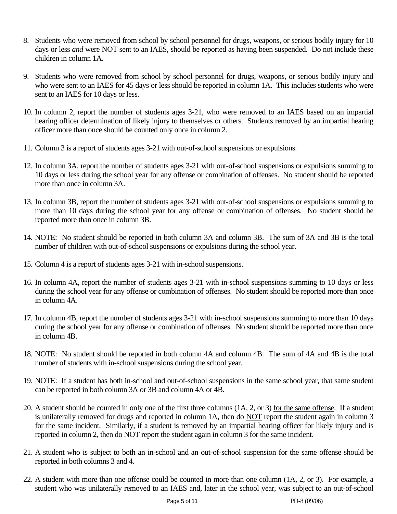- 8. Students who were removed from school by school personnel for drugs, weapons, or serious bodily injury for 10 days or less *and* were NOT sent to an IAES, should be reported as having been suspended. Do not include these children in column 1A.
- 9. Students who were removed from school by school personnel for drugs, weapons, or serious bodily injury and who were sent to an IAES for 45 days or less should be reported in column 1A. This includes students who were sent to an IAES for 10 days or less.
- 10. In column 2, report the number of students ages 3-21, who were removed to an IAES based on an impartial hearing officer determination of likely injury to themselves or others. Students removed by an impartial hearing officer more than once should be counted only once in column 2.
- 11. Column 3 is a report of students ages 3-21 with out-of-school suspensions or expulsions.
- 12. In column 3A, report the number of students ages 3-21 with out-of-school suspensions or expulsions summing to 10 days or less during the school year for any offense or combination of offenses. No student should be reported more than once in column 3A.
- 13. In column 3B, report the number of students ages 3-21 with out-of-school suspensions or expulsions summing to more than 10 days during the school year for any offense or combination of offenses. No student should be reported more than once in column 3B.
- 14. NOTE: No student should be reported in both column 3A and column 3B. The sum of 3A and 3B is the total number of children with out-of-school suspensions or expulsions during the school year.
- 15. Column 4 is a report of students ages 3-21 with in-school suspensions.
- 16. In column 4A, report the number of students ages 3-21 with in-school suspensions summing to 10 days or less during the school year for any offense or combination of offenses. No student should be reported more than once in column 4A.
- 17. In column 4B, report the number of students ages 3-21 with in-school suspensions summing to more than 10 days during the school year for any offense or combination of offenses. No student should be reported more than once in column 4B.
- 18. NOTE: No student should be reported in both column 4A and column 4B. The sum of 4A and 4B is the total number of students with in-school suspensions during the school year.
- 19. NOTE: If a student has both in-school and out-of-school suspensions in the same school year, that same student can be reported in both column 3A or 3B and column 4A or 4B.
- 20. A student should be counted in only one of the first three columns (1A, 2, or 3) for the same offense. If a student is unilaterally removed for drugs and reported in column 1A, then do NOT report the student again in column 3 for the same incident. Similarly, if a student is removed by an impartial hearing officer for likely injury and is reported in column 2, then do NOT report the student again in column 3 for the same incident.
- 21. A student who is subject to both an in-school and an out-of-school suspension for the same offense should be reported in both columns 3 and 4.
- 22. A student with more than one offense could be counted in more than one column (1A, 2, or 3). For example, a student who was unilaterally removed to an IAES and, later in the school year, was subject to an out-of-school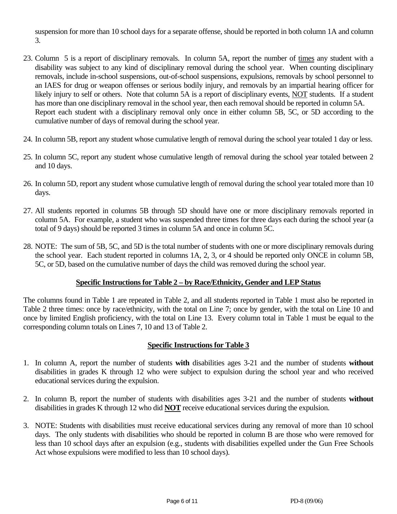suspension for more than 10 school days for a separate offense, should be reported in both column 1A and column 3.

- 23. Column 5 is a report of disciplinary removals. In column 5A, report the number of times any student with a disability was subject to any kind of disciplinary removal during the school year. When counting disciplinary removals, include in-school suspensions, out-of-school suspensions, expulsions, removals by school personnel to an IAES for drug or weapon offenses or serious bodily injury, and removals by an impartial hearing officer for likely injury to self or others. Note that column 5A is a report of disciplinary events, NOT students. If a student has more than one disciplinary removal in the school year, then each removal should be reported in column 5A. Report each student with a disciplinary removal only once in either column 5B, 5C, or 5D according to the cumulative number of days of removal during the school year.
- 24. In column 5B, report any student whose cumulative length of removal during the school year totaled 1 day or less.
- 25. In column 5C, report any student whose cumulative length of removal during the school year totaled between 2 and 10 days.
- 26. In column 5D, report any student whose cumulative length of removal during the school year totaled more than 10 days.
- 27. All students reported in columns 5B through 5D should have one or more disciplinary removals reported in column 5A. For example, a student who was suspended three times for three days each during the school year (a total of 9 days) should be reported 3 times in column 5A and once in column 5C.
- 28. NOTE: The sum of 5B, 5C, and 5D is the total number of students with one or more disciplinary removals during the school year. Each student reported in columns 1A, 2, 3, or 4 should be reported only ONCE in column 5B, 5C, or 5D, based on the cumulative number of days the child was removed during the school year.

# **Specific Instructions for Table 2 – by Race/Ethnicity, Gender and LEP Status**

The columns found in Table 1 are repeated in Table 2, and all students reported in Table 1 must also be reported in Table 2 three times: once by race/ethnicity, with the total on Line 7; once by gender, with the total on Line 10 and once by limited English proficiency, with the total on Line 13. Every column total in Table 1 must be equal to the corresponding column totals on Lines 7, 10 and 13 of Table 2.

# **Specific Instructions for Table 3**

- 1. In column A, report the number of students **with** disabilities ages 3-21 and the number of students **without**  disabilities in grades K through 12 who were subject to expulsion during the school year and who received educational services during the expulsion.
- 2. In column B, report the number of students with disabilities ages 3-21 and the number of students **without**  disabilities in grades K through 12 who did **NOT** receive educational services during the expulsion.
- 3. NOTE: Students with disabilities must receive educational services during any removal of more than 10 school days. The only students with disabilities who should be reported in column B are those who were removed for less than 10 school days after an expulsion (e.g., students with disabilities expelled under the Gun Free Schools Act whose expulsions were modified to less than 10 school days).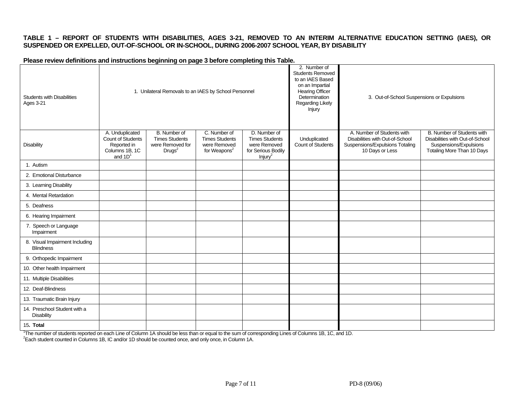#### **TABLE 1 – REPORT OF STUDENTS WITH DISABILITIES, AGES 3-21, REMOVED TO AN INTERIM ALTERNATIVE EDUCATION SETTING (IAES), OR SUSPENDED OR EXPELLED, OUT-OF-SCHOOL OR IN-SCHOOL, DURING 2006-2007 SCHOOL YEAR, BY DISABILITY**

#### **Please review definitions and instructions beginning on page 3 before completing this Table.**

| <b>Students with Disabilities</b><br><b>Ages 3-21</b> |                                                                                    | 1. Unilateral Removals to an IAES by School Personnel                           |                                                                                   |                                                                                                    | 2. Number of<br><b>Students Removed</b><br>to an IAES Based<br>on an Impartial<br><b>Hearing Officer</b><br>Determination<br>Regarding Likely<br>Injury | 3. Out-of-School Suspensions or Expulsions                                                                          |                                                                                                                       |
|-------------------------------------------------------|------------------------------------------------------------------------------------|---------------------------------------------------------------------------------|-----------------------------------------------------------------------------------|----------------------------------------------------------------------------------------------------|---------------------------------------------------------------------------------------------------------------------------------------------------------|---------------------------------------------------------------------------------------------------------------------|-----------------------------------------------------------------------------------------------------------------------|
| <b>Disability</b>                                     | A. Unduplicated<br>Count of Students<br>Reported in<br>Columns 1B, 1C<br>and $1D1$ | B. Number of<br><b>Times Students</b><br>were Removed for<br>Drugs <sup>2</sup> | C. Number of<br><b>Times Students</b><br>were Removed<br>for Weapons <sup>2</sup> | D. Number of<br><b>Times Students</b><br>were Removed<br>for Serious Bodily<br>Injury <sup>2</sup> | Unduplicated<br>Count of Students                                                                                                                       | A. Number of Students with<br>Disabilities with Out-of-School<br>Suspensions/Expulsions Totaling<br>10 Days or Less | B. Number of Students with<br>Disabilities with Out-of-School<br>Suspensions/Expulsions<br>Totaling More Than 10 Days |
| 1. Autism                                             |                                                                                    |                                                                                 |                                                                                   |                                                                                                    |                                                                                                                                                         |                                                                                                                     |                                                                                                                       |
| 2. Emotional Disturbance                              |                                                                                    |                                                                                 |                                                                                   |                                                                                                    |                                                                                                                                                         |                                                                                                                     |                                                                                                                       |
| 3. Learning Disability                                |                                                                                    |                                                                                 |                                                                                   |                                                                                                    |                                                                                                                                                         |                                                                                                                     |                                                                                                                       |
| 4. Mental Retardation                                 |                                                                                    |                                                                                 |                                                                                   |                                                                                                    |                                                                                                                                                         |                                                                                                                     |                                                                                                                       |
| 5. Deafness                                           |                                                                                    |                                                                                 |                                                                                   |                                                                                                    |                                                                                                                                                         |                                                                                                                     |                                                                                                                       |
| 6. Hearing Impairment                                 |                                                                                    |                                                                                 |                                                                                   |                                                                                                    |                                                                                                                                                         |                                                                                                                     |                                                                                                                       |
| 7. Speech or Language<br>Impairment                   |                                                                                    |                                                                                 |                                                                                   |                                                                                                    |                                                                                                                                                         |                                                                                                                     |                                                                                                                       |
| 8. Visual Impairment Including<br><b>Blindness</b>    |                                                                                    |                                                                                 |                                                                                   |                                                                                                    |                                                                                                                                                         |                                                                                                                     |                                                                                                                       |
| 9. Orthopedic Impairment                              |                                                                                    |                                                                                 |                                                                                   |                                                                                                    |                                                                                                                                                         |                                                                                                                     |                                                                                                                       |
| 10. Other health Impairment                           |                                                                                    |                                                                                 |                                                                                   |                                                                                                    |                                                                                                                                                         |                                                                                                                     |                                                                                                                       |
| 11. Multiple Disabilities                             |                                                                                    |                                                                                 |                                                                                   |                                                                                                    |                                                                                                                                                         |                                                                                                                     |                                                                                                                       |
| 12. Deaf-Blindness                                    |                                                                                    |                                                                                 |                                                                                   |                                                                                                    |                                                                                                                                                         |                                                                                                                     |                                                                                                                       |
| 13. Traumatic Brain Injury                            |                                                                                    |                                                                                 |                                                                                   |                                                                                                    |                                                                                                                                                         |                                                                                                                     |                                                                                                                       |
| 14. Preschool Student with a<br><b>Disability</b>     |                                                                                    |                                                                                 |                                                                                   |                                                                                                    |                                                                                                                                                         |                                                                                                                     |                                                                                                                       |
| 15. Total                                             |                                                                                    |                                                                                 |                                                                                   |                                                                                                    |                                                                                                                                                         |                                                                                                                     |                                                                                                                       |

<sup>1</sup>The number of students reported on each Line of Column 1A should be less than or equal to the sum of corresponding Lines of Columns 1B, 1C, and 1D.<br><sup>2</sup>Each student counted in Columns 1B, IC and/or 1D should be counted o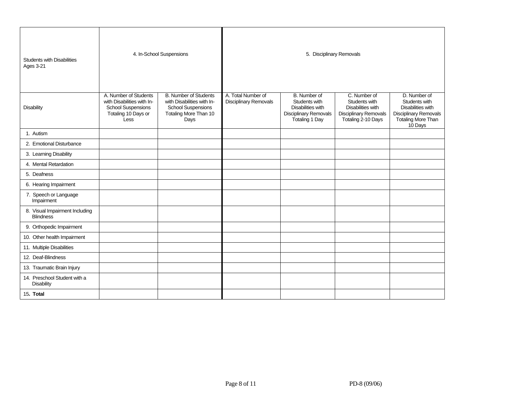| <b>Students with Disabilities</b><br><b>Ages 3-21</b> |                                                                                                                 | 4. In-School Suspensions                                                                                                 | 5. Disciplinary Removals                    |                                                                                                      |                                                                                                                 |                                                                                                                            |  |  |
|-------------------------------------------------------|-----------------------------------------------------------------------------------------------------------------|--------------------------------------------------------------------------------------------------------------------------|---------------------------------------------|------------------------------------------------------------------------------------------------------|-----------------------------------------------------------------------------------------------------------------|----------------------------------------------------------------------------------------------------------------------------|--|--|
| <b>Disability</b>                                     | A. Number of Students<br>with Disabilities with In-<br><b>School Suspensions</b><br>Totaling 10 Days or<br>Less | <b>B. Number of Students</b><br>with Disabilities with In-<br><b>School Suspensions</b><br>Totaling More Than 10<br>Days | A. Total Number of<br>Disciplinary Removals | B. Number of<br>Students with<br>Disabilities with<br><b>Disciplinary Removals</b><br>Totaling 1 Day | C. Number of<br>Students with<br><b>Disabilities with</b><br><b>Disciplinary Removals</b><br>Totaling 2-10 Days | D. Number of<br>Students with<br><b>Disabilities with</b><br><b>Disciplinary Removals</b><br>Totaling More Than<br>10 Days |  |  |
| 1. Autism                                             |                                                                                                                 |                                                                                                                          |                                             |                                                                                                      |                                                                                                                 |                                                                                                                            |  |  |
| 2. Emotional Disturbance                              |                                                                                                                 |                                                                                                                          |                                             |                                                                                                      |                                                                                                                 |                                                                                                                            |  |  |
| 3. Learning Disability                                |                                                                                                                 |                                                                                                                          |                                             |                                                                                                      |                                                                                                                 |                                                                                                                            |  |  |
| 4. Mental Retardation                                 |                                                                                                                 |                                                                                                                          |                                             |                                                                                                      |                                                                                                                 |                                                                                                                            |  |  |
| 5. Deafness                                           |                                                                                                                 |                                                                                                                          |                                             |                                                                                                      |                                                                                                                 |                                                                                                                            |  |  |
| 6. Hearing Impairment                                 |                                                                                                                 |                                                                                                                          |                                             |                                                                                                      |                                                                                                                 |                                                                                                                            |  |  |
| 7. Speech or Language<br>Impairment                   |                                                                                                                 |                                                                                                                          |                                             |                                                                                                      |                                                                                                                 |                                                                                                                            |  |  |
| 8. Visual Impairment Including<br><b>Blindness</b>    |                                                                                                                 |                                                                                                                          |                                             |                                                                                                      |                                                                                                                 |                                                                                                                            |  |  |
| 9. Orthopedic Impairment                              |                                                                                                                 |                                                                                                                          |                                             |                                                                                                      |                                                                                                                 |                                                                                                                            |  |  |
| 10. Other health Impairment                           |                                                                                                                 |                                                                                                                          |                                             |                                                                                                      |                                                                                                                 |                                                                                                                            |  |  |
| 11. Multiple Disabilities                             |                                                                                                                 |                                                                                                                          |                                             |                                                                                                      |                                                                                                                 |                                                                                                                            |  |  |
| 12. Deaf-Blindness                                    |                                                                                                                 |                                                                                                                          |                                             |                                                                                                      |                                                                                                                 |                                                                                                                            |  |  |
| 13. Traumatic Brain Injury                            |                                                                                                                 |                                                                                                                          |                                             |                                                                                                      |                                                                                                                 |                                                                                                                            |  |  |
| 14. Preschool Student with a<br>Disability            |                                                                                                                 |                                                                                                                          |                                             |                                                                                                      |                                                                                                                 |                                                                                                                            |  |  |
| 15. Total                                             |                                                                                                                 |                                                                                                                          |                                             |                                                                                                      |                                                                                                                 |                                                                                                                            |  |  |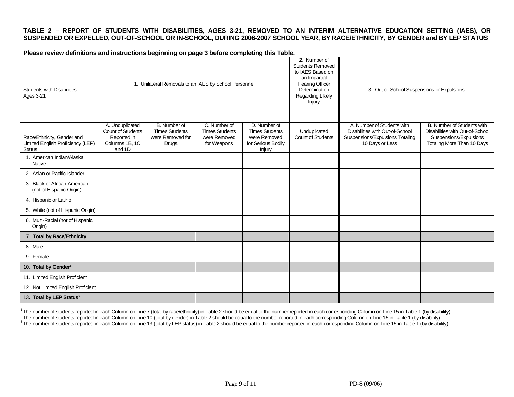#### **TABLE 2 – REPORT OF STUDENTS WITH DISABILITIES, AGES 3-21, REMOVED TO AN INTERIM ALTERNATIVE EDUCATION SETTING (IAES), OR SUSPENDED OR EXPELLED, OUT-OF-SCHOOL OR IN-SCHOOL, DURING 2006-2007 SCHOOL YEAR, BY RACE/ETHNICITY, BY GENDER and BY LEP STATUS**

**Please review definitions and instructions beginning on page 3 before completing this Table.** 

| <b>Students with Disabilities</b><br><b>Ages 3-21</b>                            |                                                                                        | 1. Unilateral Removals to an IAES by School Personnel                     |                                                                      |                                                                                       | 2. Number of<br><b>Students Removed</b><br>to IAES Based on<br>an Impartial<br><b>Hearing Officer</b><br>Determination<br>Regarding Likely<br>Injury | 3. Out-of-School Suspensions or Expulsions                                                                          |                                                                                                                              |
|----------------------------------------------------------------------------------|----------------------------------------------------------------------------------------|---------------------------------------------------------------------------|----------------------------------------------------------------------|---------------------------------------------------------------------------------------|------------------------------------------------------------------------------------------------------------------------------------------------------|---------------------------------------------------------------------------------------------------------------------|------------------------------------------------------------------------------------------------------------------------------|
| Race/Ethnicity, Gender and<br>Limited English Proficiency (LEP)<br><b>Status</b> | A. Unduplicated<br><b>Count of Students</b><br>Reported in<br>Columns 1B, 1C<br>and 1D | B. Number of<br><b>Times Students</b><br>were Removed for<br><b>Drugs</b> | C. Number of<br><b>Times Students</b><br>were Removed<br>for Weapons | D. Number of<br><b>Times Students</b><br>were Removed<br>for Serious Bodily<br>Injury | Unduplicated<br><b>Count of Students</b>                                                                                                             | A. Number of Students with<br>Disabilities with Out-of-School<br>Suspensions/Expulsions Totaling<br>10 Days or Less | <b>B.</b> Number of Students with<br>Disabilities with Out-of-School<br>Suspensions/Expulsions<br>Totaling More Than 10 Days |
| 1. American Indian/Alaska<br>Native                                              |                                                                                        |                                                                           |                                                                      |                                                                                       |                                                                                                                                                      |                                                                                                                     |                                                                                                                              |
| 2. Asian or Pacific Islander                                                     |                                                                                        |                                                                           |                                                                      |                                                                                       |                                                                                                                                                      |                                                                                                                     |                                                                                                                              |
| 3. Black or African American<br>(not of Hispanic Origin)                         |                                                                                        |                                                                           |                                                                      |                                                                                       |                                                                                                                                                      |                                                                                                                     |                                                                                                                              |
| 4. Hispanic or Latino                                                            |                                                                                        |                                                                           |                                                                      |                                                                                       |                                                                                                                                                      |                                                                                                                     |                                                                                                                              |
| 5. White (not of Hispanic Origin)                                                |                                                                                        |                                                                           |                                                                      |                                                                                       |                                                                                                                                                      |                                                                                                                     |                                                                                                                              |
| 6. Multi-Racial (not of Hispanic<br>Origin)                                      |                                                                                        |                                                                           |                                                                      |                                                                                       |                                                                                                                                                      |                                                                                                                     |                                                                                                                              |
| 7. Total by Race/Ethnicity <sup>1</sup>                                          |                                                                                        |                                                                           |                                                                      |                                                                                       |                                                                                                                                                      |                                                                                                                     |                                                                                                                              |
| 8. Male                                                                          |                                                                                        |                                                                           |                                                                      |                                                                                       |                                                                                                                                                      |                                                                                                                     |                                                                                                                              |
| 9. Female                                                                        |                                                                                        |                                                                           |                                                                      |                                                                                       |                                                                                                                                                      |                                                                                                                     |                                                                                                                              |
| 10. Total by Gender <sup>2</sup>                                                 |                                                                                        |                                                                           |                                                                      |                                                                                       |                                                                                                                                                      |                                                                                                                     |                                                                                                                              |
| 11. Limited English Proficient                                                   |                                                                                        |                                                                           |                                                                      |                                                                                       |                                                                                                                                                      |                                                                                                                     |                                                                                                                              |
| 12. Not Limited English Proficient                                               |                                                                                        |                                                                           |                                                                      |                                                                                       |                                                                                                                                                      |                                                                                                                     |                                                                                                                              |
| 13. Total by LEP Status <sup>3</sup>                                             |                                                                                        |                                                                           |                                                                      |                                                                                       |                                                                                                                                                      |                                                                                                                     |                                                                                                                              |

<sup>1</sup>The number of students reported in each Column on Line 7 (total by race/ethnicity) in Table 2 should be equal to the number reported in each corresponding Column on Line 15 in Table 1 (by disability).<br><sup>2</sup>The number of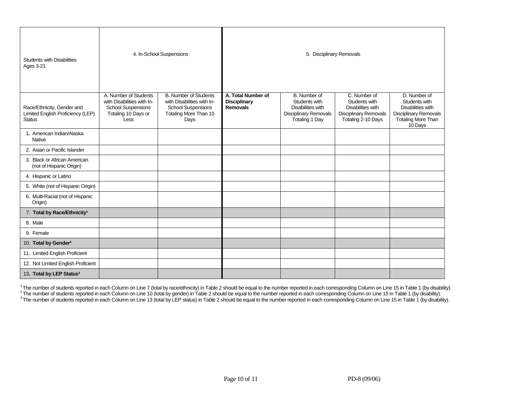| <b>Students with Disabilities</b><br><b>Ages 3-21</b>                            |                                                                                                                 | 4. In-School Suspensions                                                                                                 | 5. Disciplinary Removals                                     |                                                                                                             |                                                                                                   |                                                                                                                            |  |  |
|----------------------------------------------------------------------------------|-----------------------------------------------------------------------------------------------------------------|--------------------------------------------------------------------------------------------------------------------------|--------------------------------------------------------------|-------------------------------------------------------------------------------------------------------------|---------------------------------------------------------------------------------------------------|----------------------------------------------------------------------------------------------------------------------------|--|--|
| Race/Ethnicity, Gender and<br>Limited English Proficiency (LEP)<br><b>Status</b> | A. Number of Students<br>with Disabilities with In-<br><b>School Suspensions</b><br>Totaling 10 Days or<br>Less | <b>B. Number of Students</b><br>with Disabilities with In-<br><b>School Suspensions</b><br>Totaling More Than 10<br>Days | A. Total Number of<br><b>Disciplinary</b><br><b>Removals</b> | B. Number of<br>Students with<br>Disabilities with<br><b>Disciplinary Removals</b><br><b>Totaling 1 Day</b> | C. Number of<br>Students with<br>Disabilities with<br>Disciplinary Removals<br>Totaling 2-10 Days | D. Number of<br>Students with<br>Disabilities with<br><b>Disciplinary Removals</b><br><b>Totaling More Than</b><br>10 Days |  |  |
| 1. American Indian/Alaska<br><b>Native</b>                                       |                                                                                                                 |                                                                                                                          |                                                              |                                                                                                             |                                                                                                   |                                                                                                                            |  |  |
| 2. Asian or Pacific Islander                                                     |                                                                                                                 |                                                                                                                          |                                                              |                                                                                                             |                                                                                                   |                                                                                                                            |  |  |
| 3. Black or African American<br>(not of Hispanic Origin)                         |                                                                                                                 |                                                                                                                          |                                                              |                                                                                                             |                                                                                                   |                                                                                                                            |  |  |
| 4. Hispanic or Latino                                                            |                                                                                                                 |                                                                                                                          |                                                              |                                                                                                             |                                                                                                   |                                                                                                                            |  |  |
| 5. White (not of Hispanic Origin)                                                |                                                                                                                 |                                                                                                                          |                                                              |                                                                                                             |                                                                                                   |                                                                                                                            |  |  |
| 6. Multi-Racial (not of Hispanic<br>Origin)                                      |                                                                                                                 |                                                                                                                          |                                                              |                                                                                                             |                                                                                                   |                                                                                                                            |  |  |
| 7. Total by Race/Ethnicity <sup>1</sup>                                          |                                                                                                                 |                                                                                                                          |                                                              |                                                                                                             |                                                                                                   |                                                                                                                            |  |  |
| 8. Male                                                                          |                                                                                                                 |                                                                                                                          |                                                              |                                                                                                             |                                                                                                   |                                                                                                                            |  |  |
| 9. Female                                                                        |                                                                                                                 |                                                                                                                          |                                                              |                                                                                                             |                                                                                                   |                                                                                                                            |  |  |
| 10. Total by Gender <sup>2</sup>                                                 |                                                                                                                 |                                                                                                                          |                                                              |                                                                                                             |                                                                                                   |                                                                                                                            |  |  |
| 11. Limited English Proficient                                                   |                                                                                                                 |                                                                                                                          |                                                              |                                                                                                             |                                                                                                   |                                                                                                                            |  |  |
| 12. Not Limited English Proficient                                               |                                                                                                                 |                                                                                                                          |                                                              |                                                                                                             |                                                                                                   |                                                                                                                            |  |  |
| 13. Total by LEP Status <sup>3</sup>                                             |                                                                                                                 |                                                                                                                          |                                                              |                                                                                                             |                                                                                                   |                                                                                                                            |  |  |

<sup>1</sup>The number of students reported in each Column on Line 7 (total by race/ethnicity) in Table 2 should be equal to the number reported in each corresponding Column on Line 15 in Table 1 (by disability).<br><sup>2</sup>The number of